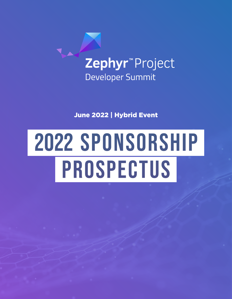

June 2022 | Hybrid Event

# 2022 SPONSORSHIP PROSPECTUS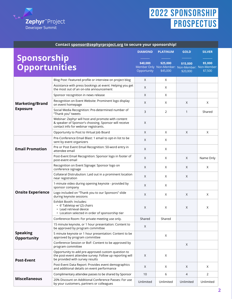

## 2022 SPONSORSHIP **PROSPECTUS**

| Contact sponsor@zephyrproject.org to secure your sponsorship! |                                                                                                                                                      |                         |                      |                                                             |                                   |
|---------------------------------------------------------------|------------------------------------------------------------------------------------------------------------------------------------------------------|-------------------------|----------------------|-------------------------------------------------------------|-----------------------------------|
| Sponsorship<br><b>Opportunities</b>                           |                                                                                                                                                      | <b>DIAMOND</b>          | <b>PLATINUM</b>      | <b>GOLD</b>                                                 | <b>SILVER</b>                     |
|                                                               |                                                                                                                                                      | \$40,000<br>Opportunity | \$25,000<br>\$45,000 | \$15,000<br>Member Only Non-Member: Non-Member:<br>\$20,000 | \$5,000<br>Non-Member:<br>\$7,500 |
| <b>Marketing/Brand</b><br><b>Exposure</b>                     | Blog Post: Featured profile or interview on project blog                                                                                             | Χ                       | X                    |                                                             |                                   |
|                                                               | Assistance with press bookings at event: Helping you get<br>the most out of an on-site announcement                                                  | X                       | Χ                    |                                                             |                                   |
|                                                               | Sponsor recognition in news release                                                                                                                  | X                       | X                    |                                                             |                                   |
|                                                               | Recognition on Event Website: Prominent logo display<br>on event homepage                                                                            | X                       | X                    | X                                                           | X                                 |
|                                                               | Social Media Recognition: Pre-determined number of<br>"Thank you" tweets                                                                             | 3                       | $\overline{2}$       | $\mathbf{1}$                                                | Shared                            |
|                                                               | Webinar: Zephyr will host and promote with content<br>& speaker of Sponsor's choosing. Sponsor will receive<br>contact info for webinar registrants. | Χ                       |                      |                                                             |                                   |
|                                                               | Opportunity to Post to Virtual Job Board                                                                                                             | X                       | Χ                    | X                                                           | X                                 |
| <b>Email Promotion</b>                                        | Pre-Conference Email Blast: 1 email to opt-in list to be<br>sent by event organizers                                                                 | Χ                       | X                    |                                                             |                                   |
|                                                               | Pre or Post Event Email Recognition: 50-word entry in<br>attendee email                                                                              | X                       | X                    |                                                             |                                   |
|                                                               | Post-Event Email Recognition: Sponsor logo in footer of<br>post-event email                                                                          | X                       | X                    | X                                                           | Name Only                         |
| <b>Onsite Experience</b>                                      | Recognition on Event Signage: Sponsor logo on<br>conference signage                                                                                  | X                       | X                    | X                                                           | X                                 |
|                                                               | Collateral Distrubution: Laid out in a prominent location<br>near registration                                                                       | X                       | X                    | X                                                           |                                   |
|                                                               | 1-minute video during opening keynote - provided by<br>sponsor company                                                                               | X                       | X                    |                                                             |                                   |
|                                                               | Logo included on "Thank you to our Sponsors" slide<br>during keynote sessions                                                                        | X                       | X                    | X                                                           | X                                 |
|                                                               | Exhibit Booth: Includes:<br>• 6' Tabletop w/ (2) chairs<br>• Lead retrieval device<br>• Location selected in order of sponsorship tier               | Χ                       | X                    | X                                                           | X                                 |
|                                                               | Conference Room: For private meeting use only.                                                                                                       | Shared                  | Shared               |                                                             |                                   |
| <b>Speaking</b><br>Opportunity                                | 15 minute keynote, or 1 hour presentation: Content to<br>be approved by program committee                                                            | X                       |                      |                                                             |                                   |
|                                                               | 5 minute keynote or 1 hour presentation: Content to be<br>approved by program committee                                                              |                         | X                    |                                                             |                                   |
|                                                               | Conference Session or BoF: Content to be approved by<br>program committee                                                                            |                         |                      | X                                                           |                                   |
| <b>Post-Event</b>                                             | Opportunity to add pre-approved custom question to<br>the post-event attendee survey: Follow up reporting will<br>be provided with survey results    | X                       | X                    |                                                             |                                   |
|                                                               | Post-Event Data Report: Provides event demographics<br>and additional details on event performance                                                   | X                       | X                    | X                                                           | X                                 |
| <b>Miscellaneous</b>                                          | Complimentary attendee passes to be shared by Sponsor                                                                                                | 10                      | 6                    | 4                                                           | $\overline{2}$                    |
|                                                               | 20% Discount on Additional Conference Passes: For use<br>by your customers, partners or colleagues                                                   | Unlimited               | Unlimited            | Unlimited                                                   | Unlimited                         |